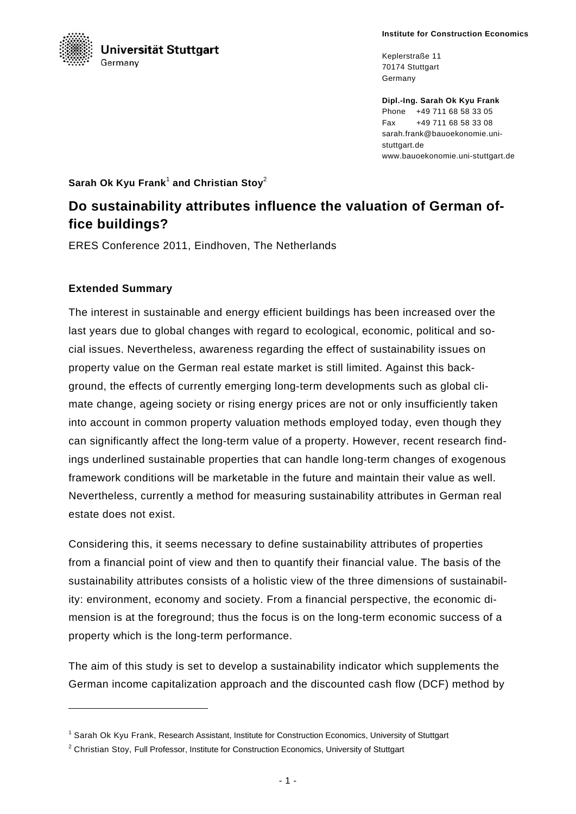

Keplerstraße 11 70174 Stuttgart Germany

**Dipl.-Ing. Sarah Ok Kyu Frank**  Phone +49 711 68 58 33 05 Fax +49 711 68 58 33 08 sarah.frank@bauoekonomie.unistuttgart.de www.bauoekonomie.uni-stuttgart.de

Sarah Ok Kyu Frank<sup>1</sup> and Christian Stoy<sup>2</sup>

## **Do sustainability attributes influence the valuation of German office buildings?**

ERES Conference 2011, Eindhoven, The Netherlands

## **Extended Summary**

-

The interest in sustainable and energy efficient buildings has been increased over the last years due to global changes with regard to ecological, economic, political and social issues. Nevertheless, awareness regarding the effect of sustainability issues on property value on the German real estate market is still limited. Against this background, the effects of currently emerging long-term developments such as global climate change, ageing society or rising energy prices are not or only insufficiently taken into account in common property valuation methods employed today, even though they can significantly affect the long-term value of a property. However, recent research findings underlined sustainable properties that can handle long-term changes of exogenous framework conditions will be marketable in the future and maintain their value as well. Nevertheless, currently a method for measuring sustainability attributes in German real estate does not exist.

Considering this, it seems necessary to define sustainability attributes of properties from a financial point of view and then to quantify their financial value. The basis of the sustainability attributes consists of a holistic view of the three dimensions of sustainability: environment, economy and society. From a financial perspective, the economic dimension is at the foreground; thus the focus is on the long-term economic success of a property which is the long-term performance.

The aim of this study is set to develop a sustainability indicator which supplements the German income capitalization approach and the discounted cash flow (DCF) method by

<sup>1</sup> Sarah Ok Kyu Frank, Research Assistant, Institute for Construction Economics, University of Stuttgart

<sup>&</sup>lt;sup>2</sup> Christian Stoy, Full Professor, Institute for Construction Economics, University of Stuttgart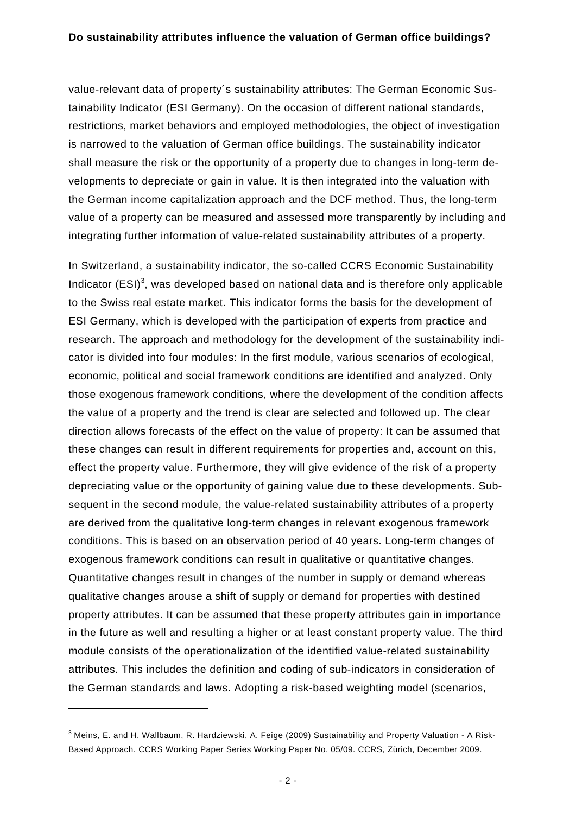value-relevant data of property´s sustainability attributes: The German Economic Sustainability Indicator (ESI Germany). On the occasion of different national standards, restrictions, market behaviors and employed methodologies, the object of investigation is narrowed to the valuation of German office buildings. The sustainability indicator shall measure the risk or the opportunity of a property due to changes in long-term developments to depreciate or gain in value. It is then integrated into the valuation with the German income capitalization approach and the DCF method. Thus, the long-term value of a property can be measured and assessed more transparently by including and integrating further information of value-related sustainability attributes of a property.

In Switzerland, a sustainability indicator, the so-called CCRS Economic Sustainability Indicator  $(ESI)^3$ , was developed based on national data and is therefore only applicable to the Swiss real estate market. This indicator forms the basis for the development of ESI Germany, which is developed with the participation of experts from practice and research. The approach and methodology for the development of the sustainability indicator is divided into four modules: In the first module, various scenarios of ecological, economic, political and social framework conditions are identified and analyzed. Only those exogenous framework conditions, where the development of the condition affects the value of a property and the trend is clear are selected and followed up. The clear direction allows forecasts of the effect on the value of property: It can be assumed that these changes can result in different requirements for properties and, account on this, effect the property value. Furthermore, they will give evidence of the risk of a property depreciating value or the opportunity of gaining value due to these developments. Subsequent in the second module, the value-related sustainability attributes of a property are derived from the qualitative long-term changes in relevant exogenous framework conditions. This is based on an observation period of 40 years. Long-term changes of exogenous framework conditions can result in qualitative or quantitative changes. Quantitative changes result in changes of the number in supply or demand whereas qualitative changes arouse a shift of supply or demand for properties with destined property attributes. It can be assumed that these property attributes gain in importance in the future as well and resulting a higher or at least constant property value. The third module consists of the operationalization of the identified value-related sustainability attributes. This includes the definition and coding of sub-indicators in consideration of the German standards and laws. Adopting a risk-based weighting model (scenarios,

-

<sup>&</sup>lt;sup>3</sup> Meins, E. and H. Wallbaum, R. Hardziewski, A. Feige (2009) Sustainability and Property Valuation - A Risk-Based Approach. CCRS Working Paper Series Working Paper No. 05/09. CCRS, Zürich, December 2009.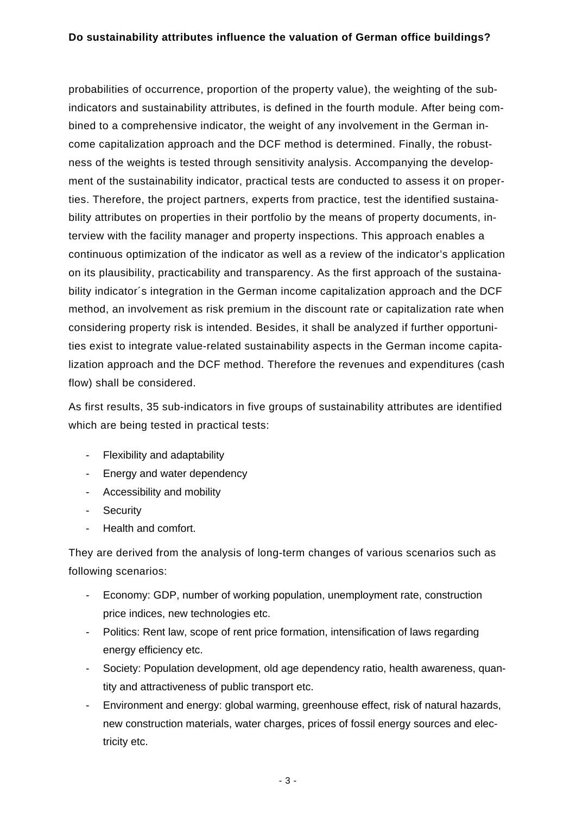## **Do sustainability attributes influence the valuation of German office buildings?**

probabilities of occurrence, proportion of the property value), the weighting of the subindicators and sustainability attributes, is defined in the fourth module. After being combined to a comprehensive indicator, the weight of any involvement in the German income capitalization approach and the DCF method is determined. Finally, the robustness of the weights is tested through sensitivity analysis. Accompanying the development of the sustainability indicator, practical tests are conducted to assess it on properties. Therefore, the project partners, experts from practice, test the identified sustainability attributes on properties in their portfolio by the means of property documents, interview with the facility manager and property inspections. This approach enables a continuous optimization of the indicator as well as a review of the indicator's application on its plausibility, practicability and transparency. As the first approach of the sustainability indicator´s integration in the German income capitalization approach and the DCF method, an involvement as risk premium in the discount rate or capitalization rate when considering property risk is intended. Besides, it shall be analyzed if further opportunities exist to integrate value-related sustainability aspects in the German income capitalization approach and the DCF method. Therefore the revenues and expenditures (cash flow) shall be considered.

As first results, 35 sub-indicators in five groups of sustainability attributes are identified which are being tested in practical tests:

- Flexibility and adaptability
- Energy and water dependency
- Accessibility and mobility
- Security
- Health and comfort.

They are derived from the analysis of long-term changes of various scenarios such as following scenarios:

- Economy: GDP, number of working population, unemployment rate, construction price indices, new technologies etc.
- Politics: Rent law, scope of rent price formation, intensification of laws regarding energy efficiency etc.
- Society: Population development, old age dependency ratio, health awareness, quantity and attractiveness of public transport etc.
- Environment and energy: global warming, greenhouse effect, risk of natural hazards, new construction materials, water charges, prices of fossil energy sources and electricity etc.